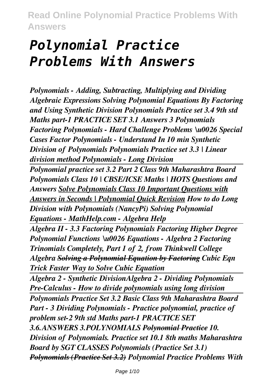# *Polynomial Practice Problems With Answers*

*Polynomials - Adding, Subtracting, Multiplying and Dividing Algebraic Expressions Solving Polynomial Equations By Factoring and Using Synthetic Division Polynomials Practice set 3.4 9th std Maths part-1 PRACTICE SET 3.1 Answers 3 Polynomials Factoring Polynomials - Hard Challenge Problems \u0026 Special Cases Factor Polynomials - Understand In 10 min Synthetic Division of Polynomials Polynomials Practice set 3.3 | Linear division method Polynomials - Long Division*

*Polynomial practice set 3.2 Part 2 Class 9th Maharashtra Board Polynomials Class 10 | CBSE/ICSE Maths | HOTS Questions and Answers Solve Polynomials Class 10 Important Questions with Answers in Seconds | Polynomial Quick Revision How to do Long Division with Polynomials (NancyPi) Solving Polynomial Equations - MathHelp.com - Algebra Help* 

*Algebra II - 3.3 Factoring Polynomials Factoring Higher Degree Polynomial Functions \u0026 Equations - Algebra 2 Factoring Trinomials Completely, Part 1 of 2, from Thinkwell College Algebra Solving a Polynomial Equation by Factoring Cubic Eqn Trick Faster Way to Solve Cubic Equation*

*Algebra 2 - Synthetic DivisionAlgebra 2 - Dividing Polynomials Pre-Calculus - How to divide polynomials using long division Polynomials Practice Set 3.2 Basic Class 9th Maharashtra Board Part - 3 Dividing Polynomials - Practice polynomial, practice of problem set-2 9th std Maths part-1 PRACTICE SET 3.6.ANSWERS 3.POLYNOMIALS Polynomial Practice 10. Division of Polynomials. Practice set 10.1 8th maths Maharashtra Board by SGT CLASSES Polynomials (Practice Set 3.1) Polynomials (Practice Set 3.2) Polynomial Practice Problems With*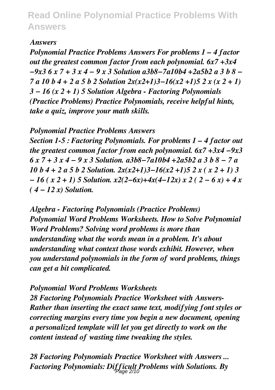#### *Answers*

*Polynomial Practice Problems Answers For problems 1 – 4 factor out the greatest common factor from each polynomial. 6x7 +3x4 −9x3 6 x 7 + 3 x 4 − 9 x 3 Solution a3b8−7a10b4 +2a5b2 a 3 b 8 − 7 a 10 b 4 + 2 a 5 b 2 Solution 2x(x2+1)3−16(x2 +1)5 2 x (x 2 + 1) 3 − 16 (x 2 + 1) 5 Solution Algebra - Factoring Polynomials (Practice Problems) Practice Polynomials, receive helpful hints, take a quiz, improve your math skills.*

*Polynomial Practice Problems Answers*

*Section 1-5 : Factoring Polynomials. For problems 1 – 4 factor out the greatest common factor from each polynomial. 6x7 +3x4 −9x3 6 x 7 + 3 x 4 − 9 x 3 Solution. a3b8−7a10b4 +2a5b2 a 3 b 8 − 7 a 10 b 4 + 2 a 5 b 2 Solution. 2x(x2+1)3−16(x2 +1)5 2 x ( x 2 + 1) 3 − 16 ( x 2 + 1) 5 Solution. x2(2−6x)+4x(4−12x) x 2 ( 2 − 6 x) + 4 x ( 4 − 12 x) Solution.*

*Algebra - Factoring Polynomials (Practice Problems) Polynomial Word Problems Worksheets. How to Solve Polynomial Word Problems? Solving word problems is more than understanding what the words mean in a problem. It's about understanding what context those words exhibit. However, when you understand polynomials in the form of word problems, things can get a bit complicated.*

*Polynomial Word Problems Worksheets*

*28 Factoring Polynomials Practice Worksheet with Answers-Rather than inserting the exact same text, modifying font styles or correcting margins every time you begin a new document, opening a personalized template will let you get directly to work on the content instead of wasting time tweaking the styles.*

*28 Factoring Polynomials Practice Worksheet with Answers ... Factoring Polynomials: Difficult Problems with Solutions. By* Page 2/10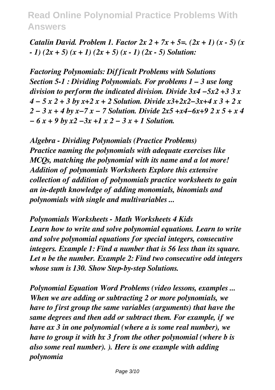*Catalin David. Problem 1. Factor 2x 2 + 7x + 5=. (2x + 1) (x - 5) (x - 1) (2x + 5) (x + 1) (2x + 5) (x - 1) (2x - 5) Solution:*

*Factoring Polynomials: Difficult Problems with Solutions Section 5-1 : Dividing Polynomials. For problems 1 – 3 use long division to perform the indicated division. Divide 3x4 −5x2 +3 3 x 4 − 5 x 2 + 3 by x+2 x + 2 Solution. Divide x3+2x2−3x+4 x 3 + 2 x 2 − 3 x + 4 by x−7 x − 7 Solution. Divide 2x5 +x4−6x+9 2 x 5 + x 4 − 6 x + 9 by x2 −3x +1 x 2 − 3 x + 1 Solution.*

*Algebra - Dividing Polynomials (Practice Problems) Practice naming the polynomials with adequate exercises like MCQs, matching the polynomial with its name and a lot more! Addition of polynomials Worksheets Explore this extensive collection of addition of polynomials practice worksheets to gain an in-depth knowledge of adding monomials, binomials and polynomials with single and multivariables ...*

*Polynomials Worksheets - Math Worksheets 4 Kids Learn how to write and solve polynomial equations. Learn to write and solve polynomial equations for special integers, consecutive integers. Example 1: Find a number that is 56 less than its square. Let n be the number. Example 2: Find two consecutive odd integers whose sum is 130. Show Step-by-step Solutions.*

*Polynomial Equation Word Problems (video lessons, examples ... When we are adding or subtracting 2 or more polynomials, we have to first group the same variables (arguments) that have the same degrees and then add or subtract them. For example, if we have ax 3 in one polynomial (where a is some real number), we have to group it with bx 3 from the other polynomial (where b is also some real number). ). Here is one example with adding polynomia*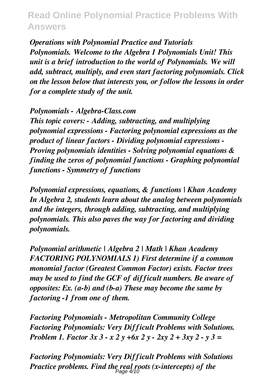*Operations with Polynomial Practice and Tutorials Polynomials. Welcome to the Algebra 1 Polynomials Unit! This unit is a brief introduction to the world of Polynomials. We will add, subtract, multiply, and even start factoring polynomials. Click on the lesson below that interests you, or follow the lessons in order for a complete study of the unit.*

*Polynomials - Algebra-Class.com*

*This topic covers: - Adding, subtracting, and multiplying polynomial expressions - Factoring polynomial expressions as the product of linear factors - Dividing polynomial expressions - Proving polynomials identities - Solving polynomial equations & finding the zeros of polynomial functions - Graphing polynomial functions - Symmetry of functions*

*Polynomial expressions, equations, & functions | Khan Academy In Algebra 2, students learn about the analog between polynomials and the integers, through adding, subtracting, and multiplying polynomials. This also paves the way for factoring and dividing polynomials.*

*Polynomial arithmetic | Algebra 2 | Math | Khan Academy FACTORING POLYNOMIALS 1) First determine if a common monomial factor (Greatest Common Factor) exists. Factor trees may be used to find the GCF of difficult numbers. Be aware of opposites: Ex. (a-b) and (b-a) These may become the same by factoring -1 from one of them.*

*Factoring Polynomials - Metropolitan Community College Factoring Polynomials: Very Difficult Problems with Solutions. Problem 1. Factor 3x 3 - x 2 y +6x 2 y - 2xy 2 + 3xy 2 - y 3 =*

*Factoring Polynomials: Very Difficult Problems with Solutions Practice problems. Find the real roots (x-intercepts) of the* Page 4/10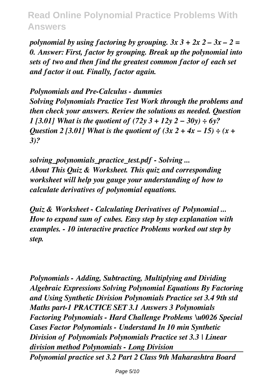*polynomial by using factoring by grouping. 3x 3 + 2x 2 – 3x – 2 = 0. Answer: First, factor by grouping. Break up the polynomial into sets of two and then find the greatest common factor of each set and factor it out. Finally, factor again.*

*Polynomials and Pre-Calculus - dummies Solving Polynomials Practice Test Work through the problems and then check your answers. Review the solutions as needed. Question 1 [3.01] What is the quotient of (72y 3 + 12y 2 − 30y) ÷ 6y? Question 2 [3.01] What is the quotient of (3x 2 + 4x − 15) ÷ (x + 3)?*

*solving\_polynomials\_practice\_test.pdf - Solving ... About This Quiz & Worksheet. This quiz and corresponding worksheet will help you gauge your understanding of how to calculate derivatives of polynomial equations.*

*Quiz & Worksheet - Calculating Derivatives of Polynomial ... How to expand sum of cubes. Easy step by step explanation with examples. - 10 interactive practice Problems worked out step by step.*

*Polynomials - Adding, Subtracting, Multiplying and Dividing Algebraic Expressions Solving Polynomial Equations By Factoring and Using Synthetic Division Polynomials Practice set 3.4 9th std Maths part-1 PRACTICE SET 3.1 Answers 3 Polynomials Factoring Polynomials - Hard Challenge Problems \u0026 Special Cases Factor Polynomials - Understand In 10 min Synthetic Division of Polynomials Polynomials Practice set 3.3 | Linear division method Polynomials - Long Division Polynomial practice set 3.2 Part 2 Class 9th Maharashtra Board*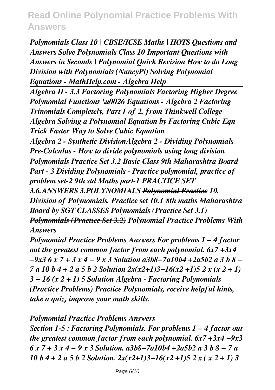*Polynomials Class 10 | CBSE/ICSE Maths | HOTS Questions and Answers Solve Polynomials Class 10 Important Questions with Answers in Seconds | Polynomial Quick Revision How to do Long Division with Polynomials (NancyPi) Solving Polynomial Equations - MathHelp.com - Algebra Help* 

*Algebra II - 3.3 Factoring Polynomials Factoring Higher Degree Polynomial Functions \u0026 Equations - Algebra 2 Factoring Trinomials Completely, Part 1 of 2, from Thinkwell College Algebra Solving a Polynomial Equation by Factoring Cubic Eqn Trick Faster Way to Solve Cubic Equation*

*Algebra 2 - Synthetic DivisionAlgebra 2 - Dividing Polynomials Pre-Calculus - How to divide polynomials using long division*

*Polynomials Practice Set 3.2 Basic Class 9th Maharashtra Board Part - 3 Dividing Polynomials - Practice polynomial, practice of problem set-2 9th std Maths part-1 PRACTICE SET*

*3.6.ANSWERS 3.POLYNOMIALS Polynomial Practice 10. Division of Polynomials. Practice set 10.1 8th maths Maharashtra Board by SGT CLASSES Polynomials (Practice Set 3.1) Polynomials (Practice Set 3.2) Polynomial Practice Problems With Answers*

*Polynomial Practice Problems Answers For problems 1 – 4 factor out the greatest common factor from each polynomial. 6x7 +3x4 −9x3 6 x 7 + 3 x 4 − 9 x 3 Solution a3b8−7a10b4 +2a5b2 a 3 b 8 − 7 a 10 b 4 + 2 a 5 b 2 Solution 2x(x2+1)3−16(x2 +1)5 2 x (x 2 + 1) 3 − 16 (x 2 + 1) 5 Solution Algebra - Factoring Polynomials (Practice Problems) Practice Polynomials, receive helpful hints, take a quiz, improve your math skills.*

*Polynomial Practice Problems Answers*

*Section 1-5 : Factoring Polynomials. For problems 1 – 4 factor out the greatest common factor from each polynomial. 6x7 +3x4 −9x3 6 x 7 + 3 x 4 − 9 x 3 Solution. a3b8−7a10b4 +2a5b2 a 3 b 8 − 7 a 10 b 4 + 2 a 5 b 2 Solution. 2x(x2+1)3−16(x2 +1)5 2 x ( x 2 + 1) 3*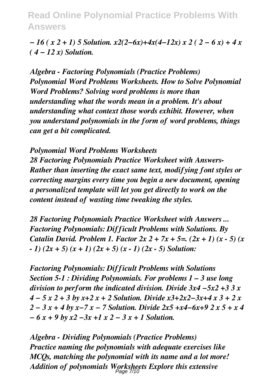*− 16 ( x 2 + 1) 5 Solution. x2(2−6x)+4x(4−12x) x 2 ( 2 − 6 x) + 4 x ( 4 − 12 x) Solution.*

*Algebra - Factoring Polynomials (Practice Problems) Polynomial Word Problems Worksheets. How to Solve Polynomial Word Problems? Solving word problems is more than understanding what the words mean in a problem. It's about understanding what context those words exhibit. However, when you understand polynomials in the form of word problems, things can get a bit complicated.*

*Polynomial Word Problems Worksheets 28 Factoring Polynomials Practice Worksheet with Answers-Rather than inserting the exact same text, modifying font styles or correcting margins every time you begin a new document, opening a personalized template will let you get directly to work on the content instead of wasting time tweaking the styles.*

*28 Factoring Polynomials Practice Worksheet with Answers ... Factoring Polynomials: Difficult Problems with Solutions. By Catalin David. Problem 1. Factor 2x 2 + 7x + 5=. (2x + 1) (x - 5) (x - 1) (2x + 5) (x + 1) (2x + 5) (x - 1) (2x - 5) Solution:*

*Factoring Polynomials: Difficult Problems with Solutions Section 5-1 : Dividing Polynomials. For problems 1 – 3 use long division to perform the indicated division. Divide 3x4 −5x2 +3 3 x 4 − 5 x 2 + 3 by x+2 x + 2 Solution. Divide x3+2x2−3x+4 x 3 + 2 x 2 − 3 x + 4 by x−7 x − 7 Solution. Divide 2x5 +x4−6x+9 2 x 5 + x 4 − 6 x + 9 by x2 −3x +1 x 2 − 3 x + 1 Solution.*

*Algebra - Dividing Polynomials (Practice Problems) Practice naming the polynomials with adequate exercises like MCQs, matching the polynomial with its name and a lot more! Addition of polynomials Worksheets Explore this extensive* Page 7/10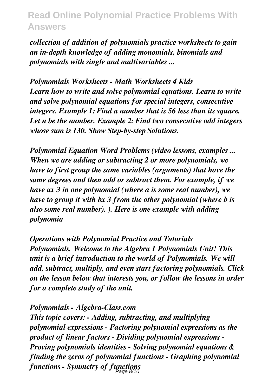*collection of addition of polynomials practice worksheets to gain an in-depth knowledge of adding monomials, binomials and polynomials with single and multivariables ...*

*Polynomials Worksheets - Math Worksheets 4 Kids Learn how to write and solve polynomial equations. Learn to write and solve polynomial equations for special integers, consecutive integers. Example 1: Find a number that is 56 less than its square. Let n be the number. Example 2: Find two consecutive odd integers whose sum is 130. Show Step-by-step Solutions.*

*Polynomial Equation Word Problems (video lessons, examples ... When we are adding or subtracting 2 or more polynomials, we have to first group the same variables (arguments) that have the same degrees and then add or subtract them. For example, if we have ax 3 in one polynomial (where a is some real number), we have to group it with bx 3 from the other polynomial (where b is also some real number). ). Here is one example with adding polynomia*

*Operations with Polynomial Practice and Tutorials Polynomials. Welcome to the Algebra 1 Polynomials Unit! This unit is a brief introduction to the world of Polynomials. We will add, subtract, multiply, and even start factoring polynomials. Click on the lesson below that interests you, or follow the lessons in order for a complete study of the unit.*

#### *Polynomials - Algebra-Class.com*

*This topic covers: - Adding, subtracting, and multiplying polynomial expressions - Factoring polynomial expressions as the product of linear factors - Dividing polynomial expressions - Proving polynomials identities - Solving polynomial equations & finding the zeros of polynomial functions - Graphing polynomial functions - Symmetry of functions* Page 8/10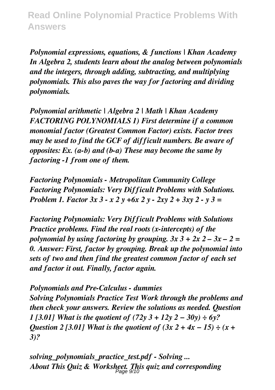*Polynomial expressions, equations, & functions | Khan Academy In Algebra 2, students learn about the analog between polynomials and the integers, through adding, subtracting, and multiplying polynomials. This also paves the way for factoring and dividing polynomials.*

*Polynomial arithmetic | Algebra 2 | Math | Khan Academy FACTORING POLYNOMIALS 1) First determine if a common monomial factor (Greatest Common Factor) exists. Factor trees may be used to find the GCF of difficult numbers. Be aware of opposites: Ex. (a-b) and (b-a) These may become the same by factoring -1 from one of them.*

*Factoring Polynomials - Metropolitan Community College Factoring Polynomials: Very Difficult Problems with Solutions. Problem 1. Factor 3x 3 - x 2 y +6x 2 y - 2xy 2 + 3xy 2 - y 3 =*

*Factoring Polynomials: Very Difficult Problems with Solutions Practice problems. Find the real roots (x-intercepts) of the polynomial by using factoring by grouping. 3x 3 + 2x 2 – 3x – 2 = 0. Answer: First, factor by grouping. Break up the polynomial into sets of two and then find the greatest common factor of each set and factor it out. Finally, factor again.*

*Polynomials and Pre-Calculus - dummies Solving Polynomials Practice Test Work through the problems and then check your answers. Review the solutions as needed. Question 1 [3.01] What is the quotient of (72y 3 + 12y 2 − 30y) ÷ 6y? Question 2 [3.01] What is the quotient of (3x 2 + 4x − 15) ÷ (x + 3)?*

*solving\_polynomials\_practice\_test.pdf - Solving ... About This Quiz & Worksheet. This quiz and corresponding* Page 9/10